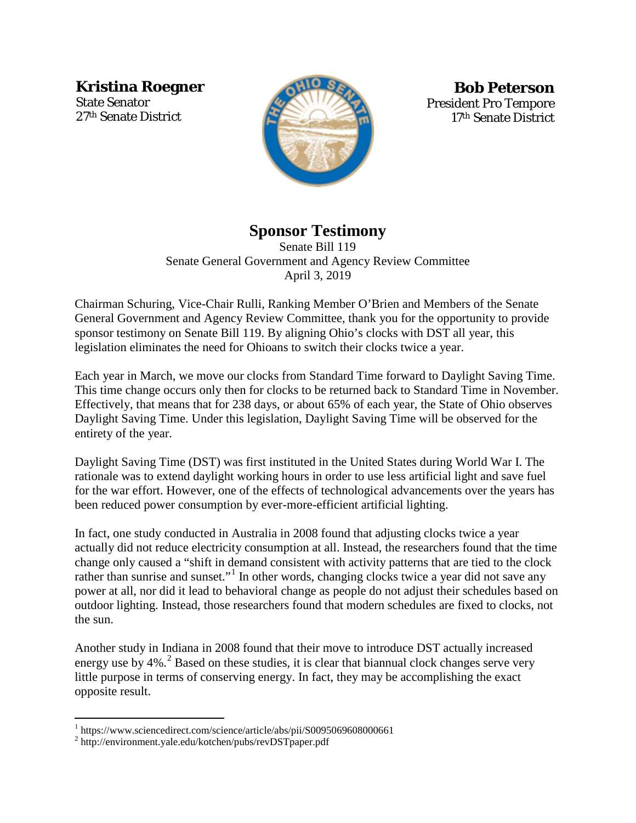**Kristina Roegner**

State Senator 27th Senate District



**Bob Peterson**  President Pro Tempore 17th Senate District

## **Sponsor Testimony**

Senate Bill 119 Senate General Government and Agency Review Committee April 3, 2019

Chairman Schuring, Vice-Chair Rulli, Ranking Member O'Brien and Members of the Senate General Government and Agency Review Committee, thank you for the opportunity to provide sponsor testimony on Senate Bill 119. By aligning Ohio's clocks with DST all year, this legislation eliminates the need for Ohioans to switch their clocks twice a year.

Each year in March, we move our clocks from Standard Time forward to Daylight Saving Time. This time change occurs only then for clocks to be returned back to Standard Time in November. Effectively, that means that for 238 days, or about 65% of each year, the State of Ohio observes Daylight Saving Time. Under this legislation, Daylight Saving Time will be observed for the entirety of the year.

Daylight Saving Time (DST) was first instituted in the United States during World War I. The rationale was to extend daylight working hours in order to use less artificial light and save fuel for the war effort. However, one of the effects of technological advancements over the years has been reduced power consumption by ever-more-efficient artificial lighting.

In fact, one study conducted in Australia in 2008 found that adjusting clocks twice a year actually did not reduce electricity consumption at all. Instead, the researchers found that the time change only caused a "shift in demand consistent with activity patterns that are tied to the clock rather than sunrise and sunset."<sup>[1](#page-0-0)</sup> In other words, changing clocks twice a year did not save any power at all, nor did it lead to behavioral change as people do not adjust their schedules based on outdoor lighting. Instead, those researchers found that modern schedules are fixed to clocks, not the sun.

Another study in Indiana in 2008 found that their move to introduce DST actually increased energy use by  $4\%$ .  $^{2}$  $^{2}$  $^{2}$  Based on these studies, it is clear that biannual clock changes serve very little purpose in terms of conserving energy. In fact, they may be accomplishing the exact opposite result.

 $\overline{a}$ 

<span id="page-0-0"></span><sup>&</sup>lt;sup>1</sup> https://www.sciencedirect.com/science/article/abs/pii/S0095069608000661

<span id="page-0-1"></span><sup>2</sup> http://environment.yale.edu/kotchen/pubs/revDSTpaper.pdf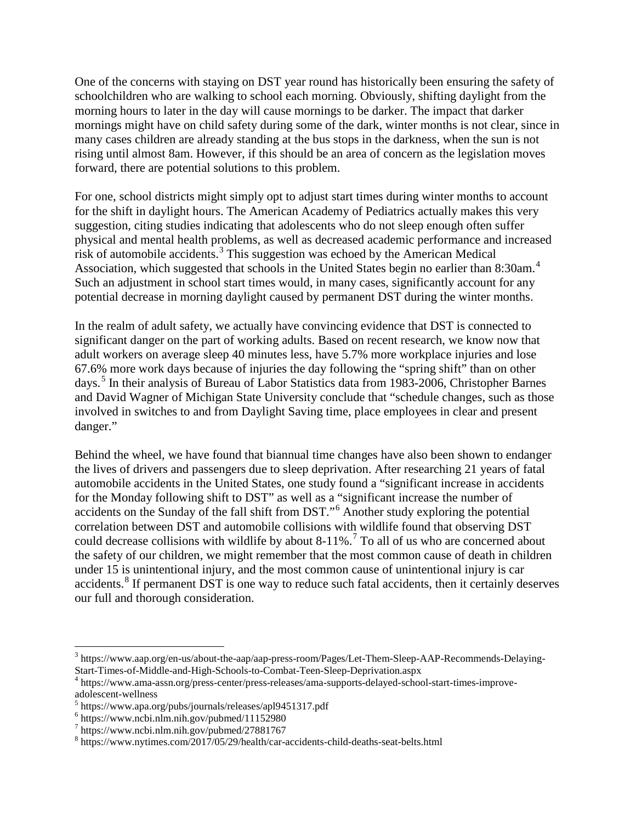One of the concerns with staying on DST year round has historically been ensuring the safety of schoolchildren who are walking to school each morning. Obviously, shifting daylight from the morning hours to later in the day will cause mornings to be darker. The impact that darker mornings might have on child safety during some of the dark, winter months is not clear, since in many cases children are already standing at the bus stops in the darkness, when the sun is not rising until almost 8am. However, if this should be an area of concern as the legislation moves forward, there are potential solutions to this problem.

For one, school districts might simply opt to adjust start times during winter months to account for the shift in daylight hours. The American Academy of Pediatrics actually makes this very suggestion, citing studies indicating that adolescents who do not sleep enough often suffer physical and mental health problems, as well as decreased academic performance and increased risk of automobile accidents.[3](#page-1-0) This suggestion was echoed by the American Medical Association, which suggested that schools in the United States begin no earlier than 8:30am.<sup>[4](#page-1-1)</sup> Such an adjustment in school start times would, in many cases, significantly account for any potential decrease in morning daylight caused by permanent DST during the winter months.

In the realm of adult safety, we actually have convincing evidence that DST is connected to significant danger on the part of working adults. Based on recent research, we know now that adult workers on average sleep 40 minutes less, have 5.7% more workplace injuries and lose 67.6% more work days because of injuries the day following the "spring shift" than on other days.[5](#page-1-2) In their analysis of Bureau of Labor Statistics data from 1983-2006, Christopher Barnes and David Wagner of Michigan State University conclude that "schedule changes, such as those involved in switches to and from Daylight Saving time, place employees in clear and present danger."

Behind the wheel, we have found that biannual time changes have also been shown to endanger the lives of drivers and passengers due to sleep deprivation. After researching 21 years of fatal automobile accidents in the United States, one study found a "significant increase in accidents for the Monday following shift to DST" as well as a "significant increase the number of accidents on the Sunday of the fall shift from DST."<sup>[6](#page-1-3)</sup> Another study exploring the potential correlation between DST and automobile collisions with wildlife found that observing DST could decrease collisions with wildlife by about 8-11%.<sup>[7](#page-1-4)</sup> To all of us who are concerned about the safety of our children, we might remember that the most common cause of death in children under 15 is unintentional injury, and the most common cause of unintentional injury is car accidents.<sup>[8](#page-1-5)</sup> If permanent DST is one way to reduce such fatal accidents, then it certainly deserves our full and thorough consideration.

 $\overline{a}$ 

<span id="page-1-0"></span><sup>3</sup> https://www.aap.org/en-us/about-the-aap/aap-press-room/Pages/Let-Them-Sleep-AAP-Recommends-Delaying-Start-Times-of-Middle-and-High-Schools-to-Combat-Teen-Sleep-Deprivation.aspx <sup>4</sup> https://www.ama-assn.org/press-center/press-releases/ama-supports-delayed-school-start-times-improve-

<span id="page-1-1"></span>adolescent-wellness <sup>5</sup> https://www.apa.org/pubs/journals/releases/apl9451317.pdf

<span id="page-1-2"></span>

<span id="page-1-3"></span> $6$  https://www.ncbi.nlm.nih.gov/pubmed/11152980

<span id="page-1-4"></span> $^7$  https://www.ncbi.nlm.nih.gov/pubmed/27881767

<span id="page-1-5"></span><sup>8</sup> https://www.nytimes.com/2017/05/29/health/car-accidents-child-deaths-seat-belts.html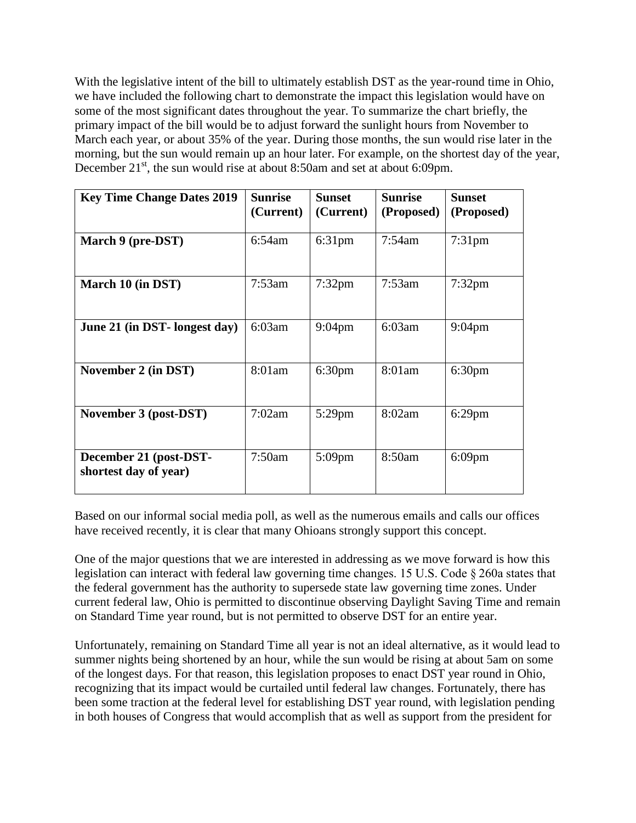With the legislative intent of the bill to ultimately establish DST as the year-round time in Ohio, we have included the following chart to demonstrate the impact this legislation would have on some of the most significant dates throughout the year. To summarize the chart briefly, the primary impact of the bill would be to adjust forward the sunlight hours from November to March each year, or about 35% of the year. During those months, the sun would rise later in the morning, but the sun would remain up an hour later. For example, on the shortest day of the year, December 21<sup>st</sup>, the sun would rise at about 8:50am and set at about 6:09pm.

| <b>Key Time Change Dates 2019</b>               | <b>Sunrise</b><br>(Current) | Sunset<br>(Current) | <b>Sunrise</b><br>(Proposed) | <b>Sunset</b><br>(Proposed) |
|-------------------------------------------------|-----------------------------|---------------------|------------------------------|-----------------------------|
| March 9 (pre-DST)                               | $6:54$ am                   | $6:31$ pm           | $7:54$ am                    | $7:31$ pm                   |
| March 10 (in DST)                               | $7:53$ am                   | $7:32$ pm           | $7:53$ am                    | $7:32$ pm                   |
| June 21 (in DST- longest day)                   | 6:03am                      | $9:04$ pm           | 6:03am                       | $9:04$ pm                   |
| November 2 (in DST)                             | 8:01am                      | 6:30 <sub>pm</sub>  | 8:01am                       | 6:30 <sub>pm</sub>          |
| November 3 (post-DST)                           | 7:02am                      | 5:29pm              | 8:02am                       | $6:29$ pm                   |
| December 21 (post-DST-<br>shortest day of year) | 7:50am                      | $5:09$ pm           | 8:50am                       | $6:09$ pm                   |

Based on our informal social media poll, as well as the numerous emails and calls our offices have received recently, it is clear that many Ohioans strongly support this concept.

One of the major questions that we are interested in addressing as we move forward is how this legislation can interact with federal law governing time changes. 15 U.S. Code § 260a states that the federal government has the authority to supersede state law governing time zones. Under current federal law, Ohio is permitted to discontinue observing Daylight Saving Time and remain on Standard Time year round, but is not permitted to observe DST for an entire year.

Unfortunately, remaining on Standard Time all year is not an ideal alternative, as it would lead to summer nights being shortened by an hour, while the sun would be rising at about 5am on some of the longest days. For that reason, this legislation proposes to enact DST year round in Ohio, recognizing that its impact would be curtailed until federal law changes. Fortunately, there has been some traction at the federal level for establishing DST year round, with legislation pending in both houses of Congress that would accomplish that as well as support from the president for